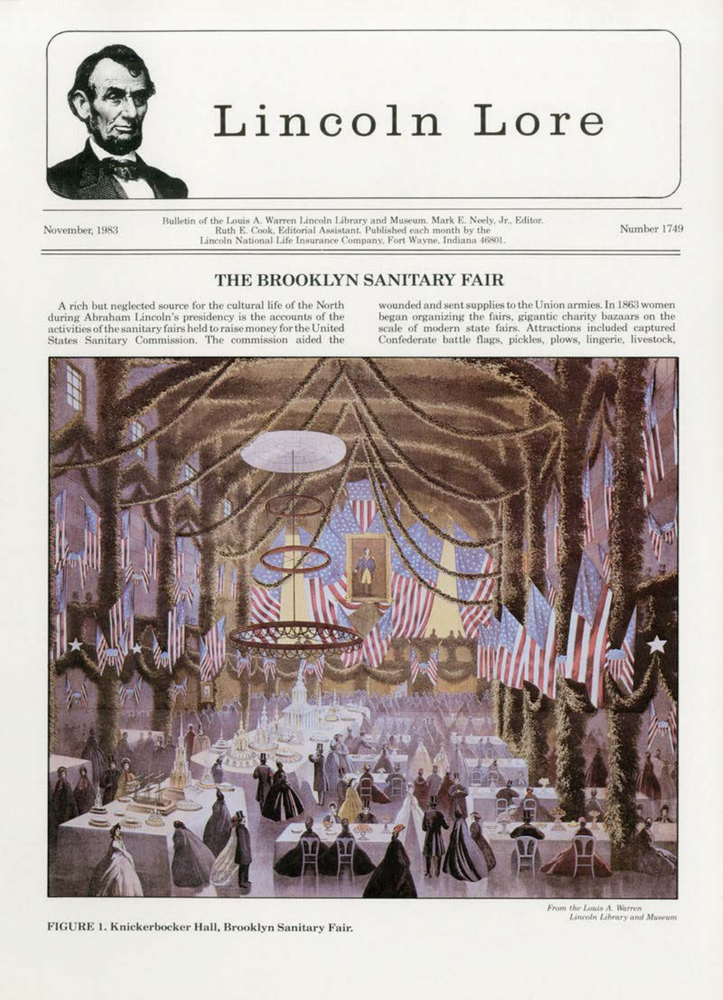

## Lincoln Lore

November, 1983

Bulletin of the Louis A. Warren Lincoln Library and Museum. Mark E. Neely, Jr., Editor.<br>Ruth E. Cook, Editorial Assistant. Published each month by the Lincoln National Life Insurance Company, Fort Wayne, Indiana 46801.

Number 1749

## THE BROOKLYN SANITARY FAIR

A rich but neglected source for the cultural life of the North during Abraham Lincoln's presidency is the accounts of the activities of the sanitary fairs held to raise money for the United States Sanitary Commission. The commission aided the

wounded and sent supplies to the Union armies. In 1863 women began organizing the fairs, gigantic charity bazaars on the scale of modern state fairs. Attractions included captured Confederate battle flags, pickles, plows, lingerie, livestock,



FIGURE 1. Knickerbocker Hall, Brooklyn Sanitary Fair.

From the Louis A. Warren Lincoln Library and Museum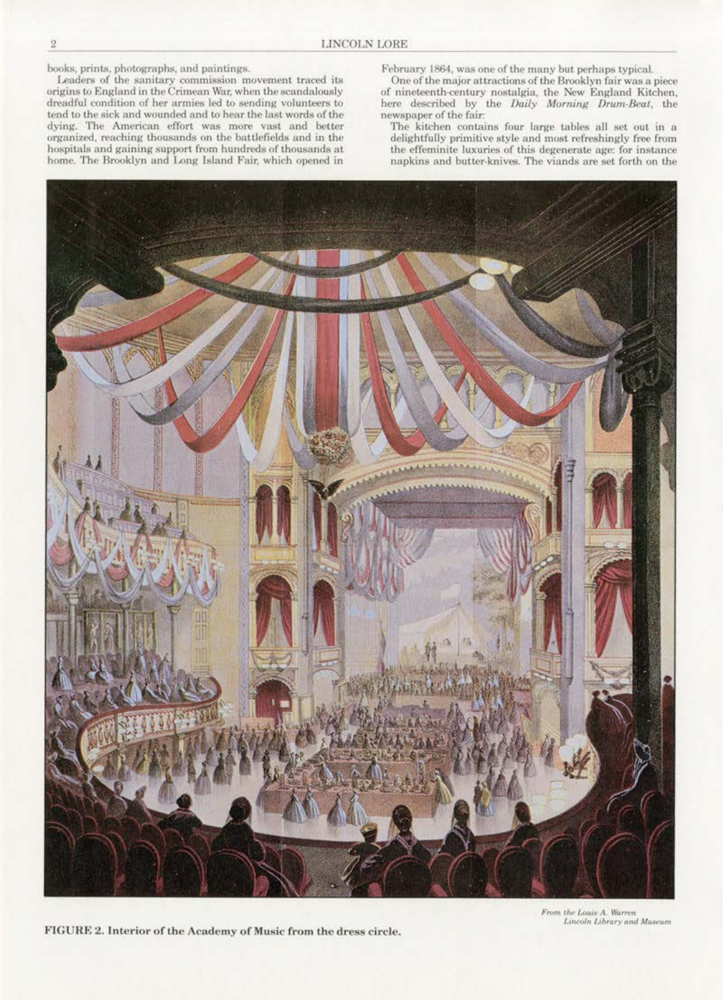books, prints, photographs, and paintings.

Leaders of the sanitary commission movement traced its<br>origins to England in the Crimean War, when the scandalously dreadful condition of her armies led to sending volunteers to tend to the sick and wounded and to hear the last words of the dying. The American effort was more vast and better organized, reaching thousands on the battlefields and in the hospitals and gaining support from hundreds of thousands at home. The Brooklyn and Long Island Fair, which opened in

February 1864, was one of the many but perhaps typical.

One of the major attractions of the Brooklyn fair was a piece of nineteenth-century nostalgia, the New England Kitchen, here described by the Daily Morning Drum-Beat, the newspaper of the fair:

The kitchen contains four large tables all set out in a delightfully primitive style and most refreshingly free from the effeminite luxuries of this degenerate age: for instance napkins and butter-knives. The viands are set forth on the



FIGURE 2. Interior of the Academy of Music from the dress circle.

From the Louis A. Warren Lincoln Library and Museum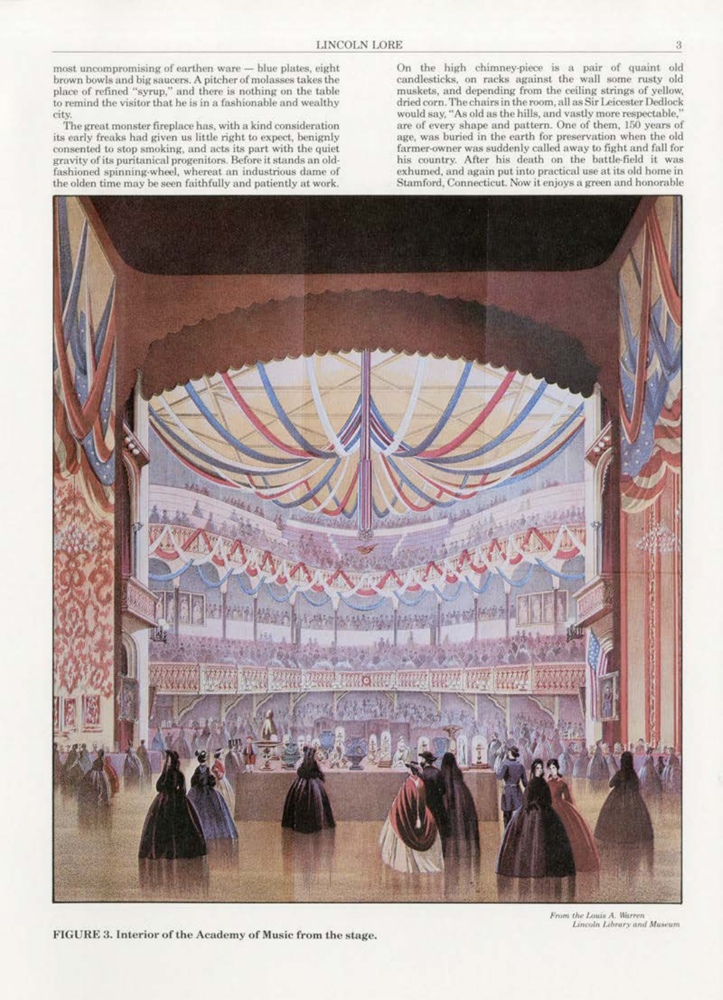most uncompromising of earthen ware - blue plates, eight brown bowls and big saucers. A pitcher of molasses takes the place of refined "syrup," and there is nothing on the table<br>to remind the visitor that he is in a fashionable and wealthy city.

The great monster fireplace has, with a kind consideration its early freaks had given us little right to expect, benignly consented to stop smoking, and acts its part with the quiet gravity of its puritanical progenitors. Before it stands an oldfashioned spinning-wheel, whereat an industrious dame of the olden time may be seen faithfully and patiently at work.

On the high chimney-piece is a pair of quaint old candlesticks, on racks against the wall some rusty old muskets, and depending from the ceiling strings of yellow, dried corn. The chairs in the room, all as Sir Leicester Dedlock would say, "As old as the hills, and vastly more respectable,' are of every shape and pattern. One of them, 150 years of age, was buried in the earth for preservation when the old farmer-owner was suddenly called away to fight and fall for his country. After his death on the battle-field it was exhumed, and again put into practical use at its old home in Stamford, Connecticut. Now it enjoys a green and honorable



FIGURE 3. Interior of the Academy of Music from the stage.

From the Louis A. Warren<br>Lincoln Library and Museum